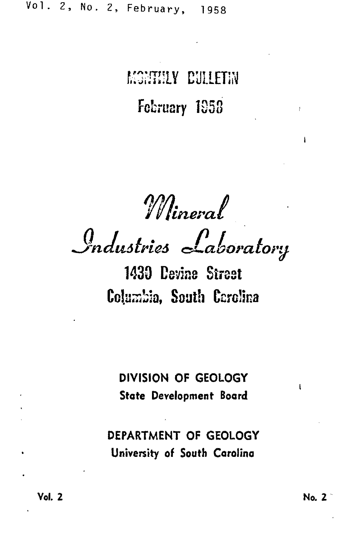# MONHILY CULLETIN February 1958

Mineral<br>Industries Laboratory

1430 Devine Street Columbia, South Carolina

DIVISION OF GEOLOGY State Development Board

DEPARTMENT OF GEOLOGY University of South Carolina

No. 2

 $\mathbf{I}$ 

ł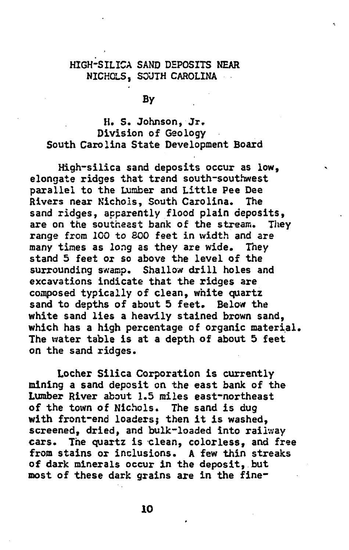## HIGH-SILICA SAND DEPOSITS NEAR NICHOLS, SOUTH CAROLINA

**By** 

# H. s. Johnson, Jr. Division of Geology South Carolina State Development Board

High-silica sand deposits occur as low, elongate ridges that trend south-southwest parallel to the Lumber and Little Pee Dee<br>Rivers near Nichols, South Carolina, The Rivers near Nichols, South Carolina. sand ridges, apparently flood plain deposits,<br>are on the southeast bank of the stream. They are on the southeast bank of the stream. range from 100 to BOO feet in width and are many times as *long* as they are wide. They stand 5 feet or so above the level of the surrounding swamp. Shallow drill holes and excavations indicate that the ridges are composed typically of clean, white quartz sand to depths of about 5 feet. Below the white sand lies a heavily stained brown sand, which has a high percentage of organic material. The water table is at a depth of about 5 feet on the sand ridges.

Locher Silica Corporation is currently mining a sand deposit on the east bank of the Lumber River about 1.5 miles east-northeast of the town of Nichols. The sand is dug with front-end loaders; then it is washed, screened, dried, and bulk-loaded into railway cars. The quartz is clean, colorless, and free from stains or inclusions. A few thin streaks of dark minerals occur in the deposit, but most of these dark grains are in the fine-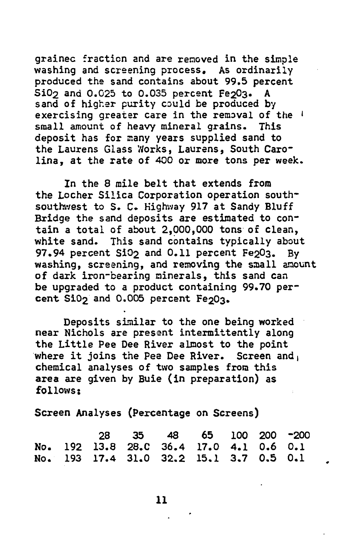grainec fraction and are removed in the simple washing and screening process. As ordinarily produced the sand contains about 99.5 percent Si0<sub>2</sub> and 0.025 to 0.035 percent Fe<sub>2</sub>03. A sand of higher purity could be produced by exercising greater care in the removal of the ' small amount of heavy mineral grains. This deposit has for many years supplied sand to the Laurens Glass Works, Laurens, South Carolina, at the rate of 400 or more tons per week.

In the 8 mile belt that extends from the Locher Silica Corporation operation southsouthwest to s. c. Highway 917 at Sandy Bluff Bridge the sand deposits are estimated to contain a total of about 2,000,000 tons of clean, white sand. This sand contains typically about 97.94 percent SiO<sub>2</sub> and 0.11 percent Fe<sub>2</sub>03. By washing, screening, and removing the small amount of dark iron-bearing minerals, this sand can be upgraded to a product containing 99.70 percent  $S10<sub>2</sub>$  and  $0.005$  percent Fe $203$ .

Deposits similar to the one being worked near Nichols are presant intermittently along the Little Pee Dee River almost to the point where it joins the Pee Dee River. Screen and, chemical analyses of two samples from this area are given by Buie (in preparation) as follows:

Screen Analyses (Percentage on Screens)

|  |  | 28 35 48 65 100 200 -200                |  |  |
|--|--|-----------------------------------------|--|--|
|  |  | No. 192 13.8 28.C 36.4 17.0 4.1 0.6 0.1 |  |  |
|  |  | No. 193 17.4 31.0 32.2 15.1 3.7 0.5 0.1 |  |  |

11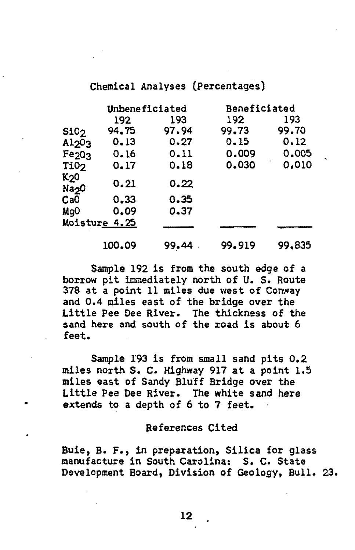## Chemical Analyses (Percentages}

|                                       | Unbeneficiated |       | Beneficiated |        |  |
|---------------------------------------|----------------|-------|--------------|--------|--|
|                                       | 192            | 193   | 192          | 193    |  |
| \$10 <sub>2</sub>                     | 94.75          | 97.94 | 99.73        | 99.70  |  |
| A1203                                 | 0.13           | 0.27  | 0.15         | 0.12   |  |
| Fe <sub>203</sub>                     | 0.16           | 0.11  | 0.009        | 0.005  |  |
| Ti02                                  | 0.17           | 0.18  | 0.030        | 0.010  |  |
| K <sub>2</sub> 0<br>Na <sub>2</sub> 0 | 0.21           | 0.22  |              |        |  |
| CaO                                   | 0.33           | 0.35  |              |        |  |
| Mg <sub>0</sub>                       | 0.09           | 0.37  |              |        |  |
|                                       | Moisture 4.25  |       |              |        |  |
|                                       | 100.09         | 99.44 | 99.919       | 99,835 |  |

Sample 192 is from the south edge of a borrow pit immediately north of U. S. Route 378 at a point 11 miles due west of Conway and 0.4 miles east of the bridge over the Little Pee Dee River. The thickness of the sand here and south of the road is about 6 feet.

Sample !93 is from small sand pits 0.2 miles north s. c. Highway 917 at a point 1.5 miles east of Sandy Bluff Bridge over the Little Pea Dee River. The white sand here extends to a depth of 6 to 7 feet.

#### References Cited

Buie, B. F., in preparation, Silica for glass manufacture in South Carolina: S. c. State Development Board, Division of Geology, Bull. 23.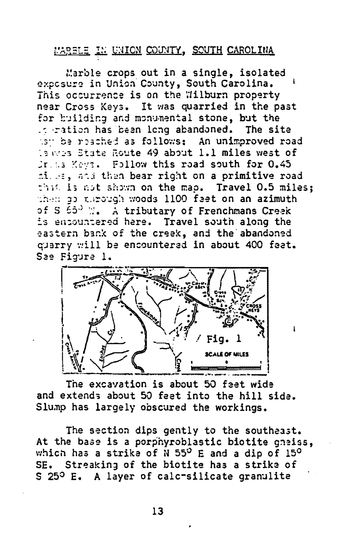# MARBLE IN UNION COUNTY, SOUTH CAROLINA

Marble crops out in a single. isolated exposure in Union County, South Carolina. This occurrence is on the Wilburn property near Cross Keys. It was quarried in the past for building and monumental stone, but the it ration has been long abandoned. The site the be reached as follows: An unimproved road is wes State Route 49 about 1.1 miles west of Dr. 13 Keys. Follow this road south for 0.45 milles, and then bear right on a primitive road that is not shown on the map. Travel 0.5 miles: then as through woods 1100 feet on an azimuth of S 65° M. A tributary of Frenchmans Creek is encountered here. Travel south along the eastern bank of the creek, and the abandoned quarry will be encountered in about 400 feet. See Figure 1.



 $\mathbf{I}$ 

The excavation is about 50 feet wide and extends about 50 feet into the hill side. Slump has largely obscured the workings.

The section dips gently to the southeast. At the base is a porphyroblastic biotite gneiss. which has a strike of N 55° E and a dip of 15° SE. Streaking of the biotite has a strike of S 25º E. A layer of calc-silicate granulite

13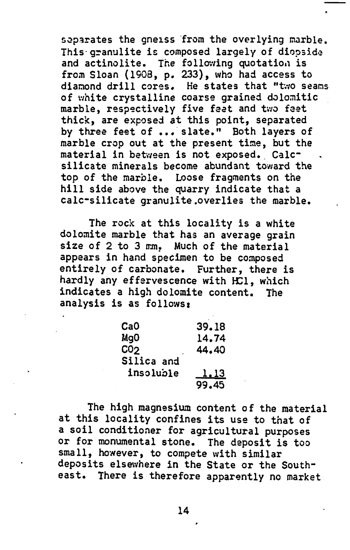separates the gneiss from the overlying marble. This granulite is composed largely of diopside and actinolite. The following quotation is from Sloan (1908, p. 233), who had access to diamond drill cores. He states that "two seams of white crystalline coarse grained dolomitic marble, respectively five feet and two feet thick, are exposed at this point, separated by three feet of ... slate." Both layers of marble crop out at the present time, but the material in between is not exposed. Calcsilicate minerals become abundant toward the top of the marble. Loose fragments on the hill side above the quarry indicate that a calc-silicate granulite.overlies the marble.

The rock at this locality is a white dolomite marble that has an average grain size of 2 to 3 mm. Much of the material appears in hand specimen to be composed entirely of carbonate. Further, there is hardly any effervescence with HCl, which indicates a high dolomite content. The analysis is as follows:

| Ca0             | 39.18         |
|-----------------|---------------|
| Mq0             | 14.74         |
| CO <sub>2</sub> | 44.40         |
| Silica and      |               |
| insoluble       | <u>1.13  </u> |
|                 | 99.45         |

The high magnesium content of the material at this locality confines its use to that of a soil conditioner for agricultural purposes or for monumental stone. The deposit is too small, however, to compete with similar deposits elsewhere in the State or the Southeast. There is therefore apparently no market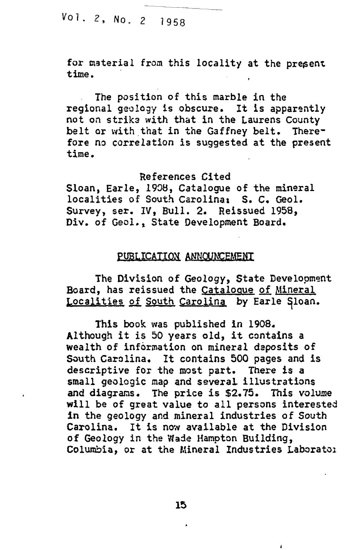VoL 2, No. 2 1958

for material from this locality at the present time. ·

The position of this marble in the regional geology is obscure. It is apparently not on striks with that in the Laurens County belt or with that in the Gaffney belt. Therefore no correlation is suggested at the present time.

References Cited Sloan, Earle, 1908, Catalogue of the mineral localities of South Carolina: S. C. Geol. Survey, ser. IV, Bull. 2. Reissued 1958, Div. of Geol.. State Development Board.

### PUBLICATION ANNOUNCEMENT

The Division of Geology, State Development Board, has reissued the Catalogue of Mineral Localities of South Carolina by Earle Sloan.

This book was published in 1908. Although it is 50 years old, it contains a wealth of information on mineral deposits of South Carolina. It contains 500 pages and is descriptive for the most part. There is a small geologic map and several illustrations<br>and diagrams. The price is \$2.75. This volume and diagrams. The price is \$2.75. will be of great value to all persons interested in the geology and mineral industries of South Carolina. It is now available at the Division of Geology in the Wade Hampton Building, Columbia, or at the Mineral Industries Laborator